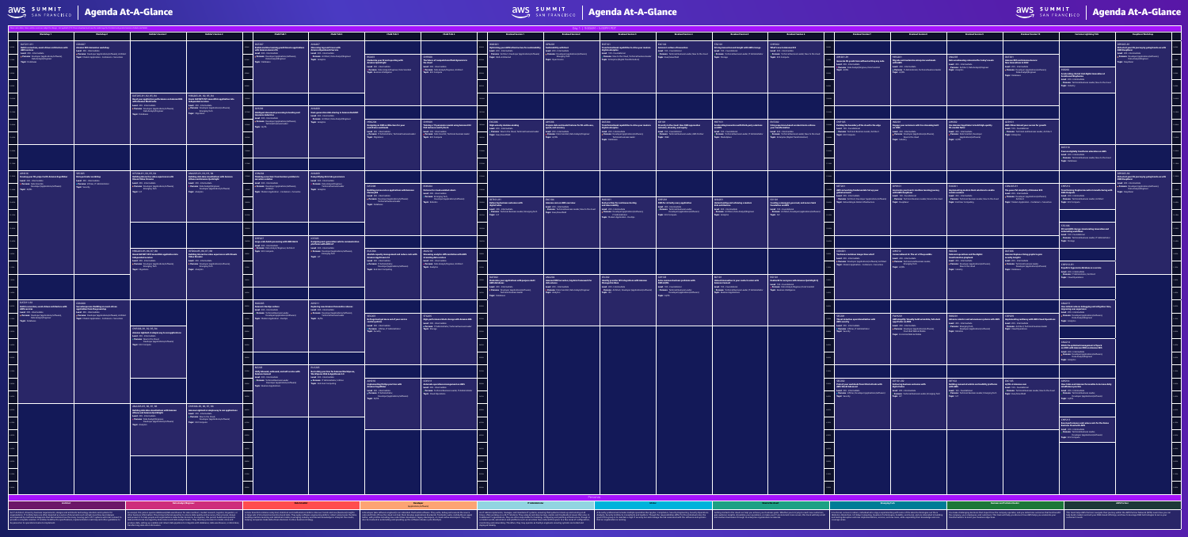

# Agenda At-A-Glance Agenda At-A-Glance Agenda At-A-Glance Agenda At-A-Glance Agenda At-A-Glance Agenda At-A-Glance

|                                                                                                     | ise note, dates, times, and/or rooms are subject to change - last updated 4/19. Please download and view the mobile app for the latest and greatest session schedule and details<br>Workshop 1 | <b>Workshop 2</b>                                                                                                                                                                                                                                                | <b>Builder's Session 1</b>                                                                                                                                                                                                                                                | <b>Builder's Session 2</b>                                                                                                                                                                                                        | <b>Chalk Talk 1</b>                                                                                                                                                                                                       | <b>Chalk Talk 2</b>                                                                                                                                                                                                  | <b>Chalk Talk 3</b>                                                                                                                                                                                                                                                                           | <b>Chalk Talk 4</b>                                                                                                                                                                         | <b>Breakout Session 1</b>                                                                                                                                                                                                                                                                       | <b>Breakout Session 2</b>                                                                                                                                                                               | <b>Breakout Session 3</b>                                                                                                                                                                                                                                                                                                          | <b>Breakout Session 4</b>                                                                                                                                                                                             | <b>Breakout Session 5</b>                                                                                                                                                                                                                                | <b>Breakout Session 6</b>                                                                                                                                                                        | <b>Breakout Session 7</b>                                                                                                                                                                                                                   | <b>Breakout Session 8</b>                                                                                                                                                                  | <b>Breakout Session 9</b>                                                                                                                                                                                                    | <b>Breakout Session 10</b>                                                                                                                                                                                                         | <b>Customer Lightning Talk</b>                                                                                                                                                                                                   | <b>DeepRacer Workshop</b>                                                                                                                                                                                                                                    |
|-----------------------------------------------------------------------------------------------------|------------------------------------------------------------------------------------------------------------------------------------------------------------------------------------------------|------------------------------------------------------------------------------------------------------------------------------------------------------------------------------------------------------------------------------------------------------------------|---------------------------------------------------------------------------------------------------------------------------------------------------------------------------------------------------------------------------------------------------------------------------|-----------------------------------------------------------------------------------------------------------------------------------------------------------------------------------------------------------------------------------|---------------------------------------------------------------------------------------------------------------------------------------------------------------------------------------------------------------------------|----------------------------------------------------------------------------------------------------------------------------------------------------------------------------------------------------------------------|-----------------------------------------------------------------------------------------------------------------------------------------------------------------------------------------------------------------------------------------------------------------------------------------------|---------------------------------------------------------------------------------------------------------------------------------------------------------------------------------------------|-------------------------------------------------------------------------------------------------------------------------------------------------------------------------------------------------------------------------------------------------------------------------------------------------|---------------------------------------------------------------------------------------------------------------------------------------------------------------------------------------------------------|------------------------------------------------------------------------------------------------------------------------------------------------------------------------------------------------------------------------------------------------------------------------------------------------------------------------------------|-----------------------------------------------------------------------------------------------------------------------------------------------------------------------------------------------------------------------|----------------------------------------------------------------------------------------------------------------------------------------------------------------------------------------------------------------------------------------------------------|--------------------------------------------------------------------------------------------------------------------------------------------------------------------------------------------------|---------------------------------------------------------------------------------------------------------------------------------------------------------------------------------------------------------------------------------------------|--------------------------------------------------------------------------------------------------------------------------------------------------------------------------------------------|------------------------------------------------------------------------------------------------------------------------------------------------------------------------------------------------------------------------------|------------------------------------------------------------------------------------------------------------------------------------------------------------------------------------------------------------------------------------|----------------------------------------------------------------------------------------------------------------------------------------------------------------------------------------------------------------------------------|--------------------------------------------------------------------------------------------------------------------------------------------------------------------------------------------------------------------------------------------------------------|
| DAT211-R1<br><b>AWS services</b><br>$\vdash$ <b>Level</b> : 200 - Intermediate                      | <b>CON207</b><br>Build a serverless, event-driven architecture with<br><b>Persona</b> : Developer (applications/software),<br>Data Analyst/Engineer                                            | $\parallel$ Amazon EKS immersion workshop<br><b>Level</b> : 200 - Intermediate<br><b>Persona</b> : Developer (applications/software), Architect<br><b>Topic:</b> Modern Application - Containers + Serverless                                                    |                                                                                                                                                                                                                                                                           |                                                                                                                                                                                                                                   | DAT207<br><b>Enable machine learning predictions in applications</b><br>  with Amazon Aurora ML<br><b>Level</b> : 200 - Intermediate<br>Persona: Developer (applications/software),<br>Data Analyst/Engineer              | <b>ANA207</b><br>$\parallel$ Observing logs and traces with<br><b>Amazon OpenSearch Service</b><br><b>Level:</b> 200 - Intermediate<br><b>Persona</b> : Architect, Data Analyst/Engineer<br><b>Topic</b> : Analytics | <b>BSI203</b>                                                                                                                                                                                                                                                                                 | <b>CMP208</b>                                                                                                                                                                               | Optimizing your AWS infrastructure for sustainability $\quad \vert \quad$ Sustainability with Rust<br><b>Level</b> : 200 - Intermediate<br><b>Persona</b> : Architect, Developer (applications/software) <b>Persona</b> : Developer (applications/software),<br><b>Topic</b> : Well-Architected | OPN201<br><b>Level</b> : 200 - Intermediate<br>Emerging Tech<br><b>Topic</b> : Open Source                                                                                                              | ENT101<br>$\blacksquare$ Transformational capabilities to drive your modern $\blacksquare$ Amazon's culture of innovation<br>digital enterprise<br>  Level: 100 - Foundational<br><b>Persona:</b> New to the Cloud, Technical business leader <b>Topic</b> : Exec/Greenfield<br><b>Topic</b> : Enterprise (Digital Transformation) | EXC102<br><b>Level:</b> 100 - Foundational                                                                                                                                                                            | STG101<br>$\parallel$ Driving innovation and insight with AWS storage<br>Level: 100 - Foundational<br><b>Persona:</b> Technical Business Leader, New to the cloud <b>Persona</b> : Technical Business Leader, IT Administrator<br><b>Topic</b> : Storage | <b>CMP202</b><br>What's new in Amazon EC2<br>Level: 200 - Intermediate<br><b>Persona:</b> Technical Business Leader, New to the cloud<br><b>Topic</b> : EC2 Compute                              | AIM201-R1                                                                                                                                                                                                                                   | <b>MRG201</b>                                                                                                                                                                              | ANA203                                                                                                                                                                                                                       | DAT201                                                                                                                                                                                                                             |                                                                                                                                                                                                                                  | DPR203-R1<br>$\parallel$ Kick-start your ML journey by going hands-on with<br><b>AWS DeepRacer</b><br><b>Level</b> : 200 - Intermediate<br>$\vert \cdot \vert$ <b>Persona</b> : Developer (applications/software),<br><b>Example 1</b> Data Analyst/Engineer |
| <b>Topic</b> : Databases                                                                            |                                                                                                                                                                                                |                                                                                                                                                                                                                                                                  |                                                                                                                                                                                                                                                                           |                                                                                                                                                                                                                                   | <b>Topic</b> : Databases                                                                                                                                                                                                  |                                                                                                                                                                                                                      | Modernize your BI and reporting with<br>Amazon QuickSight<br><b>Level:</b> 200 - Intermediate<br>Persona: Data Analyst/Engineer, Data Scientist<br><b>Topic</b> : Business Intelligence                                                                                                       | $\parallel$ The future of computational fluid dynamics in<br>the cloud<br><b>Level:</b> 200 - Intermediate<br><b>Persona: Data Analyst/Engineer, Architect</b><br><b>Topic:</b> EC2 Compute |                                                                                                                                                                                                                                                                                                 |                                                                                                                                                                                                         |                                                                                                                                                                                                                                                                                                                                    |                                                                                                                                                                                                                       |                                                                                                                                                                                                                                                          |                                                                                                                                                                                                  | Generate ML predictions without writing any code<br><b>Level</b> : 200 - Intermediate<br><b>Persona</b> : Data Analyst/Enginee, Data Scientist<br><b>Topic</b> : AI/ML                                                                      | Migrate and modernize enterprise workloads<br>with AWS<br>Level: 200 - Intermediate<br><b>Persona:</b> IT Administrator, Technical business leader <b>Topic:</b> Analytics<br>Topic: AI/ML | Data warehousing reinvented for today's needs<br><b>Level:</b> 200 - Intermediate<br><b>Persona</b> : Architect, Data Analyst/Engineer                                                                                       | <b>Amazon RDS and Amazon Aurora:</b><br><b>New innovations in 2022</b><br><b>Level</b> : 200 - Intermediate<br>• Persona: Developer (applications/software),<br><b>Example 2</b> Data Analyst/Engineer<br><b>Topic</b> : Databases | <b>IND206</b><br>Accelerating clinical trial digital innovation at<br>Sumitovant Biopharma                                                                                                                                       | <b>Topic</b> : DeepRacer                                                                                                                                                                                                                                     |
|                                                                                                     |                                                                                                                                                                                                |                                                                                                                                                                                                                                                                  |                                                                                                                                                                                                                                                                           |                                                                                                                                                                                                                                   |                                                                                                                                                                                                                           |                                                                                                                                                                                                                      |                                                                                                                                                                                                                                                                                               |                                                                                                                                                                                             |                                                                                                                                                                                                                                                                                                 |                                                                                                                                                                                                         |                                                                                                                                                                                                                                                                                                                                    |                                                                                                                                                                                                                       |                                                                                                                                                                                                                                                          |                                                                                                                                                                                                  |                                                                                                                                                                                                                                             |                                                                                                                                                                                            |                                                                                                                                                                                                                              |                                                                                                                                                                                                                                    | <b>Level</b> : 200 - Intermediate<br><b>Persona:</b> Technical Business Leader, New to the cloud<br>Topic: Industry                                                                                                              |                                                                                                                                                                                                                                                              |
|                                                                                                     |                                                                                                                                                                                                |                                                                                                                                                                                                                                                                  | DAT205-R1, R2, R3, R4<br>Boost your application performance on Amazon RDS   Break ASP.NET MVC monolithic application into<br>with Amazon ElastiCache<br><b>Level</b> : 200 - Intermediate<br><b>• Persona:</b> Developer (applications/software)<br>Data Analyst/Engineer | MRG203-R1, R2, R3, R4<br>$\vert$ independent services<br><b>Level</b> : 200 - Intermediate<br><b>Persona</b> : Developer (applications/software),<br>Emerging Tech                                                                | AIM209                                                                                                                                                                                                                    | <b>ANA208</b>                                                                                                                                                                                                        |                                                                                                                                                                                                                                                                                               |                                                                                                                                                                                             |                                                                                                                                                                                                                                                                                                 |                                                                                                                                                                                                         |                                                                                                                                                                                                                                                                                                                                    |                                                                                                                                                                                                                       |                                                                                                                                                                                                                                                          |                                                                                                                                                                                                  |                                                                                                                                                                                                                                             |                                                                                                                                                                                            |                                                                                                                                                                                                                              |                                                                                                                                                                                                                                    |                                                                                                                                                                                                                                  |                                                                                                                                                                                                                                                              |
|                                                                                                     |                                                                                                                                                                                                |                                                                                                                                                                                                                                                                  | <b>Topic</b> : Databases                                                                                                                                                                                                                                                  | <b>Topic:</b> Migrations                                                                                                                                                                                                          | Intelligent document processing in lending and<br>insurance industries<br><b>Level</b> : 200 - Intermediate<br><b>• Persona</b> : Developer (applications/software),<br>Technical business leader<br><b>Topic</b> : Al/ML | Next-generation data sharing in Amazon Redshift<br><b>Level</b> : 200 - Intermediate<br>· Persona: Architect, Data Analyst/Engineer<br><b>Topic</b> : Analytics                                                      | MRG204<br>Designing an AWS architecture for your<br>mainframe workloads                                                                                                                                                                                                                       | CMP209<br>$\vert$ Training a 1T-parameter model using Amazon EC2<br>$\vert$ P4d instances and PyTorch                                                                                       | FXC206.<br>$\parallel$ High-velocity decision-making<br><b>Level</b> : 200 - Intermediate                                                                                                                                                                                                       | $\vert$ AIM206<br>$\vert$ Prepare data and model features for ML with ease,<br>$\parallel$ speed, and accuracy                                                                                          | DAT204<br>$\parallel$ Transformational capabilities to drive your modern $\parallel$ Diversity in the cloud: How AWS approaches<br>digital enterprise                                                                                                                                                                              | <b>IDE101</b><br>$\parallel$ inclusion, diversity, and equity                                                                                                                                                         | MKT101<br>Accelerating innovation with third-party solutions<br>$ $ on AWS                                                                                                                                                                               | ENT202<br>$\parallel$ Using experience-based acceleration to achieve<br>your transformation                                                                                                      | CMP103<br>Pushing the boundary of the cloud to the edge<br>Level: 100 - Foundational                                                                                                                                                        | <b>IND201</b><br>$\vert$ Engage your customers with live streaming built<br>on AWS                                                                                                         | AIM202<br>$\vert\quad$ Use Amazon SageMaker to build high-quality<br>$\parallel$ ML models faster                                                                                                                            | GCR101<br>  AWS China: Extend your success for growth<br>Level: 100 - Foundational                                                                                                                                                 |                                                                                                                                                                                                                                  |                                                                                                                                                                                                                                                              |
|                                                                                                     |                                                                                                                                                                                                |                                                                                                                                                                                                                                                                  |                                                                                                                                                                                                                                                                           |                                                                                                                                                                                                                                   |                                                                                                                                                                                                                           |                                                                                                                                                                                                                      | Level: 200 - Intermediate<br>Persona: IT Administrator, Technical business leader<br><b>Topic</b> : Migrations                                                                                                                                                                                | <b>Level</b> : 200 - Intermediate<br>• Persona: Data Scientist, Technical business leader<br><b>Topic</b> : EC2 Compute                                                                     | Persona: New to the Cloud, Technical business leader   Level: 200 - Intermediate<br>Topic: Exec/Greenfield                                                                                                                                                                                      | <b>Persona</b> : Data Scientist, Data Analyst/Engineer<br>Topic: Al/ML                                                                                                                                  | <b>Level</b> : 200 - Intermediate<br><b>Persona</b> : Developer (applications/software),<br>Technical business leader<br><b>Topic</b> : Databases                                                                                                                                                                                  | <b>Level:</b> 100 - Foundational<br>Persona: Technical Business Leader, AWS Partner<br>Topic: ID&E                                                                                                                    | <b>Level:</b> 100 - Foundational<br><b>Persona:</b> Technical Business Leader, IT Administrator<br>  <b>Topic</b> : Marketplace                                                                                                                          | <b>Level</b> : 200 - Intermediate<br>Persona: Technical Business Leader, New to the cloud<br><b>Topic</b> : Enterprise (Digital Transformation)                                                  | Persona: Technical Business Leader, Architect<br><b>Topic</b> : EC2 Compute                                                                                                                                                                 | Level: 200 - Intermediate<br>Persona: Developer (applications/software),<br><b>Example 20 New to the cloud</b><br>Topic: Industry                                                          | <b>Level</b> : 200 - Intermediate<br><b>Persona:</b> Data Scientist, Developer<br>(applications/software)<br><b>Topic</b> : Al/ML                                                                                            | Persona: Technical and Business Leader, Architect<br>Topic: Enterprise                                                                                                                                                             |                                                                                                                                                                                                                                  |                                                                                                                                                                                                                                                              |
|                                                                                                     |                                                                                                                                                                                                |                                                                                                                                                                                                                                                                  |                                                                                                                                                                                                                                                                           |                                                                                                                                                                                                                                   |                                                                                                                                                                                                                           |                                                                                                                                                                                                                      |                                                                                                                                                                                                                                                                                               |                                                                                                                                                                                             |                                                                                                                                                                                                                                                                                                 |                                                                                                                                                                                                         |                                                                                                                                                                                                                                                                                                                                    |                                                                                                                                                                                                                       |                                                                                                                                                                                                                                                          |                                                                                                                                                                                                  |                                                                                                                                                                                                                                             |                                                                                                                                                                                            |                                                                                                                                                                                                                              |                                                                                                                                                                                                                                    | <b>DAT210</b><br>$\vert \quad$ Pearson digitally transforms education on AWS<br><b>Level</b> : 200 - Intermediate<br>$\vert$ $\hspace{0.1cm}$ • Persona: Technical Business Leader, New to the cloud<br><b>Topic</b> : Databases |                                                                                                                                                                                                                                                              |
| AIM216  <br><b>Level</b> : 200 - Intermediate                                                       | SEC205<br>Data perimeter workshop<br>Develop your ML project with Amazon SageMaker<br><b>Level</b> : 200 - Intermediate                                                                        |                                                                                                                                                                                                                                                                  | IOT204-R1, R2, R3, R4<br><b>Building interactive video experiences with</b><br><b>Kinesis Video Streams</b>                                                                                                                                                               | $\vert$ ANA205-R1, R2, R3, R4<br>$\vert$ Building data lake visualizations with Amazon<br>$\, \boldsymbol{ } \,$ Athena and Amazon QuickSight $\,$                                                                                | CON204<br>Thinking serverless: From business problem to<br>serverless solution                                                                                                                                            | ANA209<br>Demystifying data lake governance<br><b>Level:</b> 200 - Intermediate                                                                                                                                      |                                                                                                                                                                                                                                                                                               |                                                                                                                                                                                             |                                                                                                                                                                                                                                                                                                 |                                                                                                                                                                                                         |                                                                                                                                                                                                                                                                                                                                    |                                                                                                                                                                                                                       |                                                                                                                                                                                                                                                          |                                                                                                                                                                                                  |                                                                                                                                                                                                                                             |                                                                                                                                                                                            |                                                                                                                                                                                                                              |                                                                                                                                                                                                                                    |                                                                                                                                                                                                                                  | DPR203-R2<br>Kick-start your ML journey by going hands-on with<br>AWS DeepRacer                                                                                                                                                                              |
| <b>Persona: Data Scientist,</b><br>Topic: Al/ML                                                     | Developer (applications/software)<br>Topic: Security                                                                                                                                           | · Persona: InfoSec, IT Administrator                                                                                                                                                                                                                             | <b>Level</b> : 200 - Intermediate<br><b>• Persona</b> : Developer (applications/software)<br><b>Example 19 Emerging Tech</b><br>Topic: IoT                                                                                                                                | <b>Level:</b> 200 - Intermediate<br>Persona: Data Analyst/Engineer,<br>Developer (applications/software)<br><b>Topic</b> : Analytics                                                                                              | <b>Level</b> : 200 - Intermediate<br><b>• Persona</b> : Developer (applications/software),<br><b>Example 2</b> Architect<br><b>Topic</b> : Modern Application - Containers + Serverles                                    | · Persona: Data Analyst/Engineer,<br>Technical business leader<br><b>Topic</b> : Analytics                                                                                                                           | <b>DAT208</b><br>Building microservices applications with Amazon<br><b>MemoryDB</b><br><b>Level</b> : 200 - Intermediate                                                                                                                                                                      | ROB204<br>  Patterns for cloud-enabled robots<br><b>Level:</b> 200 - Intermediate<br><b>Persona:</b> Emerging Tech,                                                                         |                                                                                                                                                                                                                                                                                                 |                                                                                                                                                                                                         |                                                                                                                                                                                                                                                                                                                                    |                                                                                                                                                                                                                       |                                                                                                                                                                                                                                                          |                                                                                                                                                                                                  | NET201<br>AWS networking fundamentals: Set up your<br>  global network<br>$\vdash$ Level: 200 - Intermediate                                                                                                                                | <b>DPR101</b><br>$\mid$ $\mid$ Accelerate your team's machine learning journey $\mid$<br>with AWS DeepRacer<br>Level: 100 - Foundational                                                   | EUC201<br>$\parallel$ Implementing modern DaaS solutions to enable<br>$\vert$ remote workers<br><b>Level</b> : 200 - Intermediate                                                                                            | $\vert$ CON203-R1<br>The powerful simplicity of Amazon ECS<br><b>Level</b> : 200 - Intermediate<br>· Persona: Developer (applications/software),                                                                                   | CMP212<br>Transforming biopharmaceutical manufacturing with<br>AWS Outposts<br><b>Level</b> : 200 - Intermediate                                                                                                                 | $\overline{\phantom{a}}$ <b>Level</b> : 200 - Intermediate<br><b>Persona</b> : Developer (applications/software),<br><b>Example 2</b> Data Analyst/Engineer<br><b>Topic</b> : DeepRacer                                                                      |
|                                                                                                     |                                                                                                                                                                                                |                                                                                                                                                                                                                                                                  |                                                                                                                                                                                                                                                                           |                                                                                                                                                                                                                                   |                                                                                                                                                                                                                           |                                                                                                                                                                                                                      | <b>• Persona</b> : Developer (applications/software)<br>Technical business leader<br><b>Topic</b> : Databases                                                                                                                                                                                 | Developer (applications/software)<br><b>Topic</b> : Robotics                                                                                                                                | <b>IOT101-R1</b><br><b>Delivering business outcomes with</b><br>digital twins<br><b>Level</b> : 200 - Intermediate<br><b>Persona</b> : Technical Business Leader, Emerging Tech<br><b>Topic:</b> IoT                                                                                            | $\vert$ EXC104<br>  Amazon.com on AWS overview<br><b>Level</b> : 200 - Intermediate<br>Persona: Technical Business Leader, New to the cloud Level: 200 - Intermediate<br><b>Topic</b> : Exec/Greenfield | MAD201<br>$\parallel$ Best practices for continuous testing<br>and observability<br>· Persona: Developer (applications/software),<br><b>IT Administrator</b>                                                                                                                                                                       | <b>CMP201</b><br>$\parallel~$ AWS for virtually every application<br><b>Level:</b> 200 - Intermediate<br><b>Persona:</b> Technical Business Leader,<br>Developer (applications/software)<br><b>Topic:</b> EC2 Compute | <b>ANA201</b><br>Understanding and achieving a modern<br>data architecture<br><b>Level:</b> 200 - Intermediate<br>· Persona: Architect, Data Analyst/Engineer<br><b>Topic:</b> Analytics                                                                 | - ISV101 -<br>Creating a managed, governed, and secure SaaS<br>     foundation on AWS<br><b>Level:</b> 100 - Foundational<br>Persona: Architect, Developer (applications/software)<br>Topic: ISV | • Persona: Architect, Developer (applications/software)<br><b>Topic</b> : Networking & Global Infrastructure                                                                                                                                | Persona: Technical Business Leader, New to the cloud<br>Topic: DeepRacer                                                                                                                   | <b>Persona</b> : Technical Business Leader, New to the cloud<br><b>Topic:</b> End User Computing                                                                                                                             | <b>Example 2</b> Architect<br><b>Topic</b> : Modern Application - Containers + Serverless <b>Topic</b> : EC2 Compute                                                                                                               | <b>Persona:</b> Technical Business Leader, Architect                                                                                                                                                                             |                                                                                                                                                                                                                                                              |
|                                                                                                     |                                                                                                                                                                                                |                                                                                                                                                                                                                                                                  |                                                                                                                                                                                                                                                                           |                                                                                                                                                                                                                                   |                                                                                                                                                                                                                           |                                                                                                                                                                                                                      |                                                                                                                                                                                                                                                                                               |                                                                                                                                                                                             |                                                                                                                                                                                                                                                                                                 |                                                                                                                                                                                                         | <b>Topic</b> : Modern Application - DevOps                                                                                                                                                                                                                                                                                         |                                                                                                                                                                                                                       |                                                                                                                                                                                                                                                          |                                                                                                                                                                                                  |                                                                                                                                                                                                                                             |                                                                                                                                                                                            |                                                                                                                                                                                                                              |                                                                                                                                                                                                                                    | STG106<br>$\vert$ 3M and AWS storage: Accelerating innovation and<br>$\vert$ automating workflows                                                                                                                                |                                                                                                                                                                                                                                                              |
|                                                                                                     |                                                                                                                                                                                                |                                                                                                                                                                                                                                                                  |                                                                                                                                                                                                                                                                           |                                                                                                                                                                                                                                   | CMP207<br>  Large-scale batch processing with AWS Batch<br>Level: 200 - Intermediate<br>Persona: Data Analyst/Engineer, Architect                                                                                         | <b>IOT205</b><br>Designing next-generation vehicle communication<br>platforms with AWS IoT<br><b>Level:</b> 200 - Intermediate<br>Persona: Developer (applications/software),                                        |                                                                                                                                                                                                                                                                                               |                                                                                                                                                                                             |                                                                                                                                                                                                                                                                                                 |                                                                                                                                                                                                         |                                                                                                                                                                                                                                                                                                                                    |                                                                                                                                                                                                                       |                                                                                                                                                                                                                                                          |                                                                                                                                                                                                  |                                                                                                                                                                                                                                             |                                                                                                                                                                                            |                                                                                                                                                                                                                              |                                                                                                                                                                                                                                    | <b>Level</b> : 100 - Foundational<br>Persona: Technical Business Leader, IT Administrator<br>Topic: Storage                                                                                                                      |                                                                                                                                                                                                                                                              |
|                                                                                                     |                                                                                                                                                                                                |                                                                                                                                                                                                                                                                  | MRG203-R5, R6, R7, R8<br>Break ASP.NET MVC monolithic application into<br>independent services<br>Level: 200 - Intermediate<br>Persona: Developer (applications/software),<br><b>Example 19 Emerging Tech</b>                                                             | IOT204-R5, R6, R7, R8<br>$\vert$ Building interactive video experiences with Kinesis<br>Video Streams<br><b>Level:</b> 200 - Intermediate<br><b>Persona</b> : Developer (applications/software),<br>Emerging Tech                 | <b>Topic:</b> EC2 Compute                                                                                                                                                                                                 | Emerging Tech<br>Topic: IoT                                                                                                                                                                                          | <b>EUC204</b><br>$\blacksquare$ Abolish capacity management and reduce costs with $\blacksquare$ Streaming analytics differentiation with AWS $\blacksquare$<br><b>Amazon AppStream 2.0</b><br>Level: 200 - Intermediate<br>· Persona: IT Administrator,<br>Developer (applications/software) | ANA210<br>streaming data services<br><b>Level:</b> 200 - Intermediate<br>Persona: Data Analyst/Engineer, Architect<br><b>Topic:</b> Analytics                                               |                                                                                                                                                                                                                                                                                                 |                                                                                                                                                                                                         |                                                                                                                                                                                                                                                                                                                                    |                                                                                                                                                                                                                       |                                                                                                                                                                                                                                                          |                                                                                                                                                                                                  | CON201<br>You have a container image: Now what?<br>Level: 200 - Intermediate<br>Persona: Developer (applications/software), Architect Persona: Technical and Business Leader,<br><b>Topic:</b> Modern Application - Containers + Serverless | AIM212<br>$\, \overline{\,}$ Conversational AI: The art of the possible $\,$<br>Level: 200 - Intermediate<br>Emerging Tech<br>Topic: Al/ML                                                 | IND202<br>$\vert$ Reinvent operations and the digital<br>$\parallel$ transformation playbook<br><b>Level</b> : 200 - Intermediate<br><b>Persona:</b> Developer (applications/software)<br><b>Example 20 New to the cloud</b> | DAT206<br>$\parallel$ Amazon Neptune: Using graphs to gain<br>$\vert$ security insights<br><b>Level</b> : 200 - Intermediate<br>· Persona: Technical business leader,<br>Developer (applications/software)                         | COP212-R1<br>Expedia's hyperscale database as a service                                                                                                                                                                          |                                                                                                                                                                                                                                                              |
|                                                                                                     |                                                                                                                                                                                                |                                                                                                                                                                                                                                                                  | <b>Topic: Migrations</b>                                                                                                                                                                                                                                                  | <b>Topic</b> : Analytics                                                                                                                                                                                                          |                                                                                                                                                                                                                           |                                                                                                                                                                                                                      | <b>Topic</b> : End User Computing                                                                                                                                                                                                                                                             |                                                                                                                                                                                             | DAT202<br>$\parallel$ Modernize your applications with purpose-built $\parallel$<br><b>AWS databases</b>                                                                                                                                                                                        | <b>ANA202</b><br>$\parallel$ Amazon EMR Serverless, big data framework for<br>data science                                                                                                              | <b>ISV202</b><br>$\parallel$ Identity provider ISV integrations with Amazon<br>Managed Grafana                                                                                                                                                                                                                                     | AIM103<br>Solve common business problems with<br>AWS AI/ML                                                                                                                                                            | <b>BIZ101</b><br>$\parallel$ Unleash innovation in your contact center with<br>  Amazon Connect                                                                                                                                                          | $\parallel$ BSI101<br>$\parallel$ Enable BI for everyone with Amazon QuickSight Q<br>Level: 100 - Foundational                                                                                   |                                                                                                                                                                                                                                             |                                                                                                                                                                                            | <b>Topic:</b> Industry                                                                                                                                                                                                       | <b>Topic</b> : Databases                                                                                                                                                                                                           | <b>Level</b> : 200 - Intermediate<br><b>Persona</b> : IT Administrator, Architect<br><b>Topic</b> : Cloud Operations                                                                                                             |                                                                                                                                                                                                                                                              |
| DAT211-R2                                                                                           | <b>CON208</b>                                                                                                                                                                                  |                                                                                                                                                                                                                                                                  |                                                                                                                                                                                                                                                                           |                                                                                                                                                                                                                                   | MAD203                                                                                                                                                                                                                    | AIM211                                                                                                                                                                                                               |                                                                                                                                                                                                                                                                                               |                                                                                                                                                                                             | <b>Level</b> : 200 - Intermediate<br><b>Persona:</b> Developer (applications/software<br>Technical business leader<br><b>Topic</b> : Databases                                                                                                                                                  | <b>Level</b> : 200 - Intermediate<br><b>Persona</b> : Data Scientist, Data Analyst/Engineer<br><b>Topic</b> : Analytics                                                                                 | <b>Level</b> : 200 - Intermediate<br><b>• Persona</b> : Architect, Developer (applications/software)<br><b>Topic: ISV</b>                                                                                                                                                                                                          | <b>Level:</b> 100 - Foundational<br>Persona: Technical Business Leader,<br>Developer (applications/software)<br>Topic: Al/ML                                                                                          | <b>Level:</b> 100 - Foundational<br>Persona: Technical Business Leader, IT Administrator<br><b>Topic</b> : Business Applications                                                                                                                         | Persona: Data Analyst/Engineer, Data Scientist<br><b>Topic</b> : Business Intelligence                                                                                                           |                                                                                                                                                                                                                                             |                                                                                                                                                                                            |                                                                                                                                                                                                                              |                                                                                                                                                                                                                                    | ANA213                                                                                                                                                                                                                           |                                                                                                                                                                                                                                                              |
| <b>AWS services</b><br>$\vdash$ Level: 200 - Intermediate<br><b>Example 2</b> Data Analyst/Engineer | Build a serverless, event-driven architecture with<br><b>Persona</b> : Developer (applications/software),                                                                                      | Serverlesspresso: Building an event-driven<br>$\parallel$ application from the ground up $\parallel$<br><b>Level:</b> 200 - Intermediate<br>Persona: Developer (applications/software), Architect<br><b>Topic</b> : Modern Application - Containers + Serverless |                                                                                                                                                                                                                                                                           |                                                                                                                                                                                                                                   | <b>Amazon's DevOps culture</b><br>Level: 200 - Intermediate<br>● Persona: Technical Business Leader,<br>Developer (applications/software)<br><b>Topic</b> : Modern Application - DevOps                                   | <b>Exploring new Amazon Personalize releases</b><br><b>Level:</b> 200 - Intermediate<br><b>• Persona</b> : Developer (applications/software),<br>Technical business leader<br><b>Topic</b> : Al/ML                   | <b>SEC203</b><br>$\vert$ Be frugal and get more out of your service                                                                                                                                                                                                                           | STG205<br>$\parallel$ High-performance block storage with Amazon EBS $\parallel$                                                                                                            |                                                                                                                                                                                                                                                                                                 |                                                                                                                                                                                                         |                                                                                                                                                                                                                                                                                                                                    |                                                                                                                                                                                                                       |                                                                                                                                                                                                                                                          |                                                                                                                                                                                                  | SEC201<br>Threat detection operationalization with                                                                                                                                                                                          | <b>FWM201</b><br>AWS Amplify: Visually build extensible, full-stack                                                                                                                        | ROB201                                                                                                                                                                                                                       | COP209<br>Advance robotics and autonomous systems with AWS $\parallel$ Implementing resiliency with AWS Cloud Operations                                                                                                           | $\vert$ How Airbnb reduces debugging and mitigation time,<br>improving user experience<br><b>Level</b> : 200 - Intermediate<br><b>Persona</b> : Developer (applications/software),<br>Data Analyst/Engineer                      |                                                                                                                                                                                                                                                              |
| <b>Topic</b> : Databases                                                                            |                                                                                                                                                                                                |                                                                                                                                                                                                                                                                  | CMP206-R1, R2, R3, R4<br>Amazon Lightsail: A simple way to run applications<br><b>Level</b> : 200 - Intermediate                                                                                                                                                          |                                                                                                                                                                                                                                   |                                                                                                                                                                                                                           |                                                                                                                                                                                                                      | control policies<br><b>Level</b> : 200 - Intermediate<br>· Persona: InfoSec, IT Administrator<br><b>Topic</b> : Security                                                                                                                                                                      | <b>Level:</b> 200 - Intermediate<br>$\vert \cdot \vert$ • Persona: IT Administrator, Technical business leader<br><b>Topic</b> : Storage                                                    |                                                                                                                                                                                                                                                                                                 |                                                                                                                                                                                                         |                                                                                                                                                                                                                                                                                                                                    |                                                                                                                                                                                                                       |                                                                                                                                                                                                                                                          |                                                                                                                                                                                                  | AWS security<br><b>Level</b> : 200 - Intermediate<br><b>Persona:</b> InfoSec, IT Administrator<br><b>Topic</b> : Security                                                                                                                   | apps faster on AWS<br>Level: 200 - Intermediate<br><b>Persona:</b> Developer (applications/software),<br>Front-End Web & Mobile<br>Topic: Front-End Web & Mobile                           | <b>Level:</b> 200 - Intermediate<br><b>• Persona</b> : Emerging Tech,<br>Developer (applications/software)<br><b>Topic:</b> Robotics                                                                                         | <b>Level:</b> 200 - Intermediate<br>· Persona: Architect, Technical business leader<br><b>Topic:</b> Cloud Operations                                                                                                              | <b>Topic</b> : Analytics                                                                                                                                                                                                         |                                                                                                                                                                                                                                                              |
|                                                                                                     |                                                                                                                                                                                                |                                                                                                                                                                                                                                                                  | <b>• Persona:</b> New to the Cloud,<br>Developer (applications/software)<br><b>Topic: EC2 Compute</b>                                                                                                                                                                     |                                                                                                                                                                                                                                   |                                                                                                                                                                                                                           |                                                                                                                                                                                                                      |                                                                                                                                                                                                                                                                                               |                                                                                                                                                                                             |                                                                                                                                                                                                                                                                                                 |                                                                                                                                                                                                         |                                                                                                                                                                                                                                                                                                                                    |                                                                                                                                                                                                                       |                                                                                                                                                                                                                                                          |                                                                                                                                                                                                  |                                                                                                                                                                                                                                             |                                                                                                                                                                                            |                                                                                                                                                                                                                              |                                                                                                                                                                                                                                    | ANA214<br>Stitch Fix optimized management of Spark<br>  on AWS with Amazon EMR on Amazon EKS<br><b>Level</b> : 200 - Intermediate                                                                                                |                                                                                                                                                                                                                                                              |
|                                                                                                     |                                                                                                                                                                                                |                                                                                                                                                                                                                                                                  |                                                                                                                                                                                                                                                                           |                                                                                                                                                                                                                                   | BIZ203<br>Unify inbound, outbound, and self-service with                                                                                                                                                                  | <b>EUC203</b><br>Best safety practices for Amazon WorkSpaces,                                                                                                                                                        |                                                                                                                                                                                                                                                                                               |                                                                                                                                                                                             |                                                                                                                                                                                                                                                                                                 |                                                                                                                                                                                                         |                                                                                                                                                                                                                                                                                                                                    |                                                                                                                                                                                                                       |                                                                                                                                                                                                                                                          |                                                                                                                                                                                                  |                                                                                                                                                                                                                                             |                                                                                                                                                                                            |                                                                                                                                                                                                                              |                                                                                                                                                                                                                                    | · Persona: Developer (applications/software),<br><b>Example 2</b> Data Analyst/Engineer<br><b>Topic</b> : Analytics                                                                                                              |                                                                                                                                                                                                                                                              |
|                                                                                                     |                                                                                                                                                                                                |                                                                                                                                                                                                                                                                  |                                                                                                                                                                                                                                                                           |                                                                                                                                                                                                                                   | <b>Amazon Connect</b><br><b>Level</b> : 200 - Intermediate<br>● Persona: Technical Business Leader<br>Developer (applications/software)<br><b>Topic</b> : Business Applications                                           | WorkSpaces Web & AppStream 2.0<br><b>Level:</b> 200 - Intermediate<br>Persona: IT Administrator, InfoSec<br><b>Topic</b> : End User Computing                                                                        | AIM210<br><b>Implementing MLOps practices with</b><br>Amazon SageMaker                                                                                                                                                                                                                        | COP211<br>Automate operations management on AWS<br><b>Level:</b> 200 - Intermediate                                                                                                         |                                                                                                                                                                                                                                                                                                 |                                                                                                                                                                                                         |                                                                                                                                                                                                                                                                                                                                    |                                                                                                                                                                                                                       |                                                                                                                                                                                                                                                          |                                                                                                                                                                                                  | SEC202<br>$\vert$ Protect your workloads from DDoS attacks with<br>AWS Shield Advanced                                                                                                                                                      | IOT101-R2<br><b>Delivering business outcomes with</b><br>digital twins                                                                                                                     | $ $ 10T102<br>Building connected vehicle and mobility platforms<br>with AWS                                                                                                                                                  | EXC103<br>  Al/ML at Amazon.com<br><b>Level:</b> 100 - Foundational                                                                                                                                                                | AIM214<br>$\parallel~$ How Calm used Amazon Personalize to increase daily<br>mindfulness practice                                                                                                                                |                                                                                                                                                                                                                                                              |
|                                                                                                     |                                                                                                                                                                                                |                                                                                                                                                                                                                                                                  |                                                                                                                                                                                                                                                                           |                                                                                                                                                                                                                                   |                                                                                                                                                                                                                           |                                                                                                                                                                                                                      | <b>Level</b> : 200 - Intermediate<br>· Persona: IT Administrator,<br>Developer (applications/software)<br>Topic: Al/ML                                                                                                                                                                        | Persona: Technical Business Leader, IT Administrator<br><b>Topic:</b> Cloud Operations                                                                                                      |                                                                                                                                                                                                                                                                                                 |                                                                                                                                                                                                         |                                                                                                                                                                                                                                                                                                                                    |                                                                                                                                                                                                                       |                                                                                                                                                                                                                                                          |                                                                                                                                                                                                  | $\lnot$ <b>Level</b> : 200 - Intermediate<br>● Persona: InfoSec, Developer (applications/software)<br><b>Topic</b> : Security                                                                                                               | Level: 200 - Intermediate<br><b>Persona</b> : Technical Business Leader, Emerging Tech<br>Topic: IoT                                                                                       | <b>Level</b> : $100$ - Foundational<br>● Persona: Technical Business Leader, Emerging Tech<br><b>Topic</b> : IoT                                                                                                             | Persona: Technical Business Leader, New to the cloud Level: 200 - Intermediate<br>Topic: Exec/Greenfield                                                                                                                           | <b>Persona</b> : Technical Business Leader,<br>Developer (applications/software)<br><b>Topic</b> : AI/ML                                                                                                                         |                                                                                                                                                                                                                                                              |
|                                                                                                     |                                                                                                                                                                                                |                                                                                                                                                                                                                                                                  | ANA205-R5, R6, R7, R8<br>Building data lake visualizations with Amazon<br><b>Athena and Amazon QuickSight</b><br>Level: 200 - Intermediate<br><b>• Persona:</b> Data Analyst/Engineer,<br>Developer (applications/software)                                               | CMP206-R5, R6, R7, R8<br>$\vert$ Amazon Lightsail: A simple way to run applications<br><b>Level:</b> 200 - Intermediate<br><b>• Persona</b> : New to the Cloud,<br>Developer (applications/software)<br><b>Topic:</b> EC2 Compute |                                                                                                                                                                                                                           |                                                                                                                                                                                                                      |                                                                                                                                                                                                                                                                                               |                                                                                                                                                                                             |                                                                                                                                                                                                                                                                                                 |                                                                                                                                                                                                         |                                                                                                                                                                                                                                                                                                                                    |                                                                                                                                                                                                                       |                                                                                                                                                                                                                                                          |                                                                                                                                                                                                  |                                                                                                                                                                                                                                             |                                                                                                                                                                                            |                                                                                                                                                                                                                              |                                                                                                                                                                                                                                    | <b>CMP213</b><br>Boost performance and reduce costs for the Domo                                                                                                                                                                 |                                                                                                                                                                                                                                                              |
|                                                                                                     |                                                                                                                                                                                                |                                                                                                                                                                                                                                                                  | <b>Topic: Analytics</b>                                                                                                                                                                                                                                                   |                                                                                                                                                                                                                                   |                                                                                                                                                                                                                           |                                                                                                                                                                                                                      |                                                                                                                                                                                                                                                                                               |                                                                                                                                                                                             |                                                                                                                                                                                                                                                                                                 |                                                                                                                                                                                                         |                                                                                                                                                                                                                                                                                                                                    |                                                                                                                                                                                                                       |                                                                                                                                                                                                                                                          |                                                                                                                                                                                                  |                                                                                                                                                                                                                                             |                                                                                                                                                                                            |                                                                                                                                                                                                                              |                                                                                                                                                                                                                                    | $\vert$ Business Cloud with AWS<br><b>Level</b> : 200 - Intermediate<br>Persona: Technical Business Leader,<br>Developer (applications/software)<br><b>Topic</b> : EC2 Compute                                                   |                                                                                                                                                                                                                                                              |
|                                                                                                     |                                                                                                                                                                                                |                                                                                                                                                                                                                                                                  |                                                                                                                                                                                                                                                                           |                                                                                                                                                                                                                                   |                                                                                                                                                                                                                           |                                                                                                                                                                                                                      |                                                                                                                                                                                                                                                                                               |                                                                                                                                                                                             |                                                                                                                                                                                                                                                                                                 |                                                                                                                                                                                                         |                                                                                                                                                                                                                                                                                                                                    |                                                                                                                                                                                                                       |                                                                                                                                                                                                                                                          |                                                                                                                                                                                                  |                                                                                                                                                                                                                                             |                                                                                                                                                                                            |                                                                                                                                                                                                                              |                                                                                                                                                                                                                                    |                                                                                                                                                                                                                                  |                                                                                                                                                                                                                                                              |
|                                                                                                     |                                                                                                                                                                                                |                                                                                                                                                                                                                                                                  |                                                                                                                                                                                                                                                                           |                                                                                                                                                                                                                                   |                                                                                                                                                                                                                           |                                                                                                                                                                                                                      |                                                                                                                                                                                                                                                                                               |                                                                                                                                                                                             |                                                                                                                                                                                                                                                                                                 |                                                                                                                                                                                                         |                                                                                                                                                                                                                                                                                                                                    |                                                                                                                                                                                                                       |                                                                                                                                                                                                                                                          |                                                                                                                                                                                                  |                                                                                                                                                                                                                                             |                                                                                                                                                                                            |                                                                                                                                                                                                                              |                                                                                                                                                                                                                                    |                                                                                                                                                                                                                                  |                                                                                                                                                                                                                                                              |
|                                                                                                     |                                                                                                                                                                                                |                                                                                                                                                                                                                                                                  |                                                                                                                                                                                                                                                                           |                                                                                                                                                                                                                                   |                                                                                                                                                                                                                           |                                                                                                                                                                                                                      |                                                                                                                                                                                                                                                                                               |                                                                                                                                                                                             |                                                                                                                                                                                                                                                                                                 |                                                                                                                                                                                                         |                                                                                                                                                                                                                                                                                                                                    |                                                                                                                                                                                                                       |                                                                                                                                                                                                                                                          |                                                                                                                                                                                                  |                                                                                                                                                                                                                                             |                                                                                                                                                                                            |                                                                                                                                                                                                                              |                                                                                                                                                                                                                                    |                                                                                                                                                                                                                                  |                                                                                                                                                                                                                                                              |
| Architect<br><b>Data Analyst/Engineer</b>                                                           |                                                                                                                                                                                                |                                                                                                                                                                                                                                                                  | <b>Data Scientist</b>                                                                                                                                                                                                                                                     |                                                                                                                                                                                                                                   | (applications/software)                                                                                                                                                                                                   | <b>Developer</b>                                                                                                                                                                                                     | <b>IT Administrator</b>                                                                                                                                                                                                                                                                       | Personas                                                                                                                                                                                    |                                                                                                                                                                                                                                                                                                 |                                                                                                                                                                                                         |                                                                                                                                                                                                                                                                                                                                    | New to the cloud                                                                                                                                                                                                      |                                                                                                                                                                                                                                                          | <b>Emerging Tech</b>                                                                                                                                                                             |                                                                                                                                                                                                                                             | <b>Business and Technical leader</b>                                                                                                                                                       |                                                                                                                                                                                                                              | <b>AWS Partner</b>                                                                                                                                                                                                                 |                                                                                                                                                                                                                                  |                                                                                                                                                                                                                                                              |

produce data, setting up scalable and robust data pipelines to integrate with databases, data warehouses, or data lakes,

transforming data into information.



code and think of how the cloud can help them develop applications (backends, frontends, webs, mobile/device apps) better, with profiles including low-code citizen developers, legacy developers, or cloud-native developers. They may

also be involved in automating and speeding up the software release cycle (DevOps).

a modern world, automation and platforms such as serverless have reduced this space to a few areas of configuration, monitoring and networking. Therefore, they may operate as DevOps engineers ensuring systems are tested and

deployed reliably.

Analysts, Security Architects, Consultants and Auditors. Though the responsibilities differ for the individual roles, the goal of this group is to maintain a high IT security bar and manage the risk associated with the software and systems

that an organization is running.

Getting started in the cloud can help you achieve your business goals. Whether you're trying to reach new customers, gain audience insights, streamline your operations, or make your IT environment more secure, this track will help small

and medium businesses through to enterprise organizations accelerate.

coverage areas.



You make challenging decisions that impact how the company operates, and you determine outcomes that best benefit the company, your employees, and customers. This track will help you discover how AWS helps you accelerate your

transformations to meet your business objectives.

This track helps AWS Partners navigate their journey within the AWS Partner Network (APN). Learn how you can help build, market, and sell your AWS-based offerings, and how to leverage AWS technologies to serve your

customers' needs.